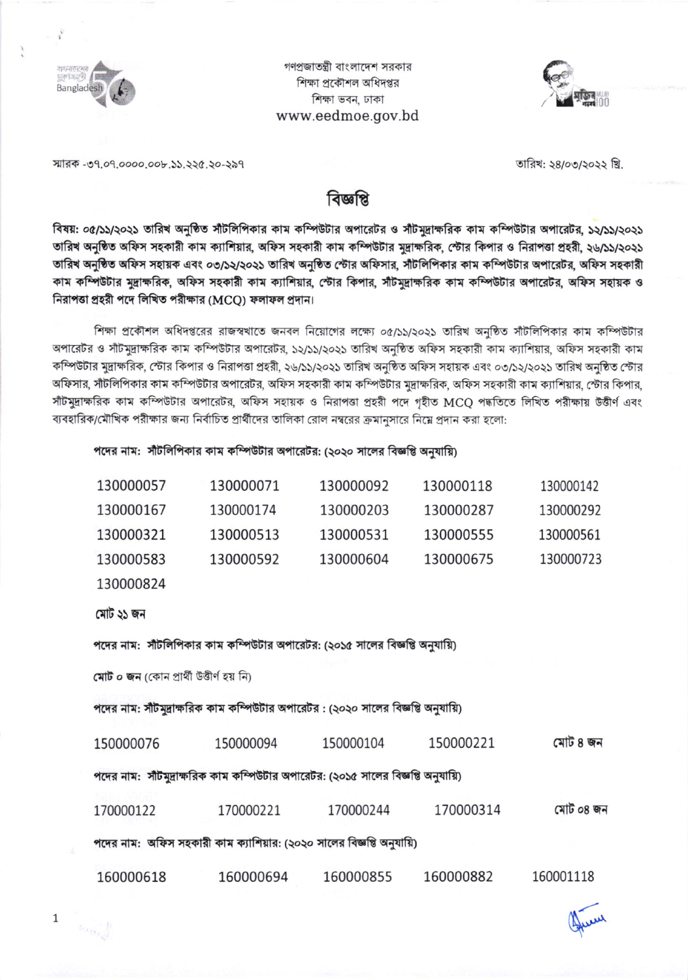

গণপ্রজাতন্ত্রী বাংলাদেশ সরকার শিক্ষা প্রকৌশল অধিদপ্তর শিক্ষা ভবন, ঢাকা www.eedmoe.gov.bd



স্মারক -৩৭.০৭.০০০০.০০৮.১১.২২৫.২০-২৯৭

তারিখ: ২৪/০৩/২০২২ খ্রি.

## বিজ্ঞাপ্প

বিষয়: ০৫/১১/২০২১ তারিখ অনুষ্ঠিত সাঁটলিপিকার কাম কম্পিউটার অপারেটর ও সাঁটমুদ্রাক্ষরিক কাম কম্পিউটার অপারেটর, ১২/১১/২০২১ তারিখ অনুষ্ঠিত অফিস সহকারী কাম ক্যাশিয়ার, অফিস সহকারী কাম কম্পিউটার মুদ্রাক্ষরিক, স্টোর কিপার ও নিরাপত্তা প্রহরী, ২৬/১১/২০২১ তারিখ অনুষ্ঠিত অফিস সহায়ক এবং ০৩/১২/২০২১ তারিখ অনুষ্ঠিত স্টোর অফিসার, সাঁটলিপিকার কাম কম্পিউটার অপারেটর, অফিস সহকারী কাম কম্পিউটার মুদ্রাক্ষরিক, অফিস সহকারী কাম ক্যাশিয়ার, স্টোর কিপার, সাঁটমুদ্রাক্ষরিক কাম কম্পিউটার অপারেটর, অফিস সহায়ক ও নিরাপত্তা প্রহরী পদে লিখিত পরীক্ষার (MCO) ফলাফল প্রদান।

শিক্ষা প্রকৌশল অধিদপ্তরের রাজস্বখাতে জনবল নিয়োগের লক্ষ্যে ০৫/১১/২০২১ তারিখ অনুষ্ঠিত সাঁটলিপিকার কাম কম্পিউটার অপারেটর ও সাঁটমুদ্রাক্ষরিক কাম কম্পিউটার অপারেটর, ১২/১১/২০২১ তারিখ অনুষ্ঠিত অফিস সহকারী কাম ক্যাশিয়ার, অফিস সহকারী কাম কম্পিউটার মুদ্রাক্ষরিক, স্টোর কিপার ও নিরাপত্তা প্রহরী, ২৬/১১/২০২১ তারিখ অনুষ্ঠিত অফিস সহায়ক এবং ০৩/১২/২০২১ তারিখ অনুষ্ঠিত স্টোর অফিসার, সাঁটলিপিকার কাম কম্পিউটার অপারেটর, অফিস সহকারী কাম কম্পিউটার মুদ্রাক্ষরিক, অফিস সহকারী কাম ক্যাশিয়ার, স্টোর কিপার, সাঁটমুদ্রাক্ষরিক কাম কম্পিউটার অপারেটর, অফিস সহায়ক ও নিরাপত্তা প্রহরী পদে গৃহীত MCO পদ্ধতিতে লিখিত পরীক্ষায় উত্তীর্ণ এবং ব্যবহারিক/মৌখিক পরীক্ষার জন্য নির্বাচিত প্রার্থীদের তালিকা রোল নম্বরের ক্রমানসারে নিম্নে প্রদান করা হলো:

## পদের নাম: সাঁটলিপিকার কাম কম্পিউটার অপারেটর: (২০২০ সালের বিজ্ঞপ্তি অনুযায়ি)

| 130000057 | 130000071 | 130000092 | 130000118 | 130000142 |
|-----------|-----------|-----------|-----------|-----------|
| 130000167 | 130000174 | 130000203 | 130000287 | 130000292 |
| 130000321 | 130000513 | 130000531 | 130000555 | 130000561 |
| 130000583 | 130000592 | 130000604 | 130000675 | 130000723 |
| 130000824 |           |           |           |           |

মোট ২১ জন

 $\mathbf{1}$ 

পদের নাম: সীটলিপিকার কাম কম্পিউটার অপারেটর: (২০১৫ সালের বিজ্ঞপ্তি অনুযায়ি)

মোট ০ জন (কোন প্ৰাৰ্থী উত্তীৰ্ণ হয় নি)

পদের নাম: সীটমদ্রাক্ষরিক কাম কম্পিউটার অপারেটর : (২০২০ সালের বিজ্ঞপ্তি অনুযায়ি)

মোট ৪ জন 150000221 150000076 150000094 150000104 পদের নাম: সাঁটমুদ্রাক্ষরিক কাম কম্পিউটার অপারেটর: (২০১৫ সালের বিজ্ঞপ্তি অনুযায়ি)

170000122 170000221 170000244 170000314 মোট ০৪ জন

পদের নাম: অফিস সহকারী কাম ক্যাশিয়ার: (২০২০ সালের বিজ্ঞপ্তি অনুযায়ি)

|  | 160000618 | 160000694 | 160000855 | 160000882 | 160001118 |
|--|-----------|-----------|-----------|-----------|-----------|
|--|-----------|-----------|-----------|-----------|-----------|